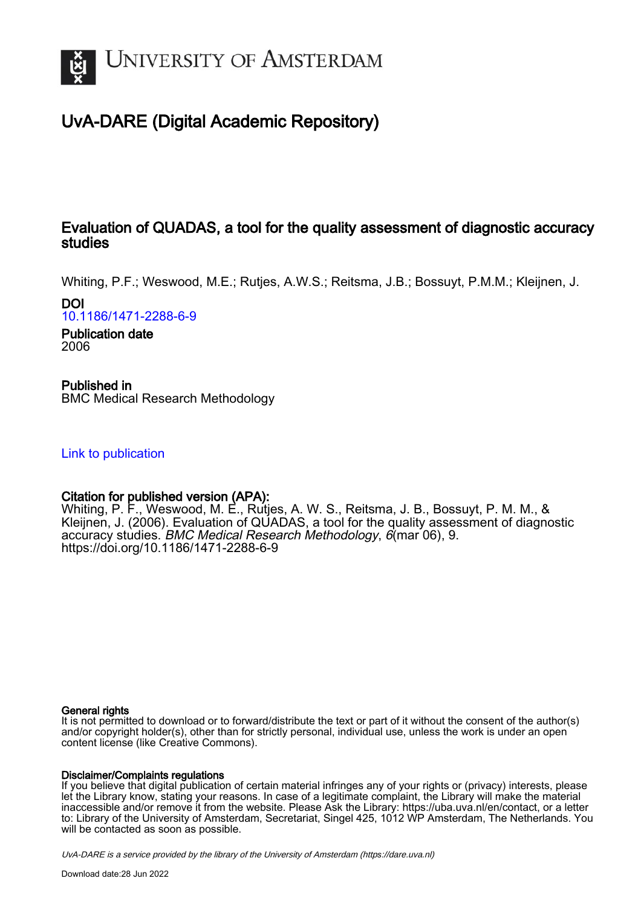

# UvA-DARE (Digital Academic Repository)

# Evaluation of QUADAS, a tool for the quality assessment of diagnostic accuracy studies

Whiting, P.F.; Weswood, M.E.; Rutjes, A.W.S.; Reitsma, J.B.; Bossuyt, P.M.M.; Kleijnen, J.

DOI

[10.1186/1471-2288-6-9](https://doi.org/10.1186/1471-2288-6-9)

Publication date 2006

# Published in

BMC Medical Research Methodology

[Link to publication](https://dare.uva.nl/personal/pure/en/publications/evaluation-of-quadas-a-tool-for-the-quality-assessment-of-diagnostic-accuracy-studies(3caf2358-ccd1-4f1d-856f-843ff624f0c9).html)

# Citation for published version (APA):

Whiting, P. F., Weswood, M. E., Rutjes, A. W. S., Reitsma, J. B., Bossuyt, P. M. M., & Kleijnen, J. (2006). Evaluation of QUADAS, a tool for the quality assessment of diagnostic accuracy studies. BMC Medical Research Methodology, 6(mar 06), 9. <https://doi.org/10.1186/1471-2288-6-9>

# General rights

It is not permitted to download or to forward/distribute the text or part of it without the consent of the author(s) and/or copyright holder(s), other than for strictly personal, individual use, unless the work is under an open content license (like Creative Commons).

# Disclaimer/Complaints regulations

If you believe that digital publication of certain material infringes any of your rights or (privacy) interests, please let the Library know, stating your reasons. In case of a legitimate complaint, the Library will make the material inaccessible and/or remove it from the website. Please Ask the Library: https://uba.uva.nl/en/contact, or a letter to: Library of the University of Amsterdam, Secretariat, Singel 425, 1012 WP Amsterdam, The Netherlands. You will be contacted as soon as possible.

UvA-DARE is a service provided by the library of the University of Amsterdam (http*s*://dare.uva.nl)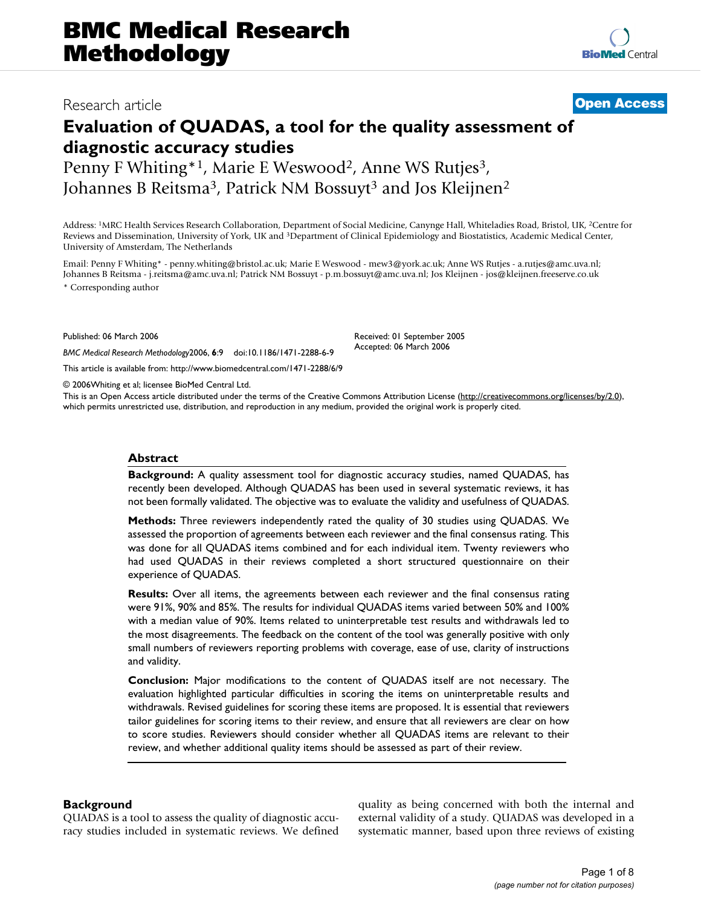# Research article **[Open Access](http://www.biomedcentral.com/info/about/charter/)**

# **Evaluation of QUADAS, a tool for the quality assessment of diagnostic accuracy studies**

Penny F Whiting\*1, Marie E Weswood<sup>2</sup>, Anne WS Rutjes<sup>3</sup>, Johannes B Reitsma<sup>3</sup>, Patrick NM Bossuyt<sup>3</sup> and Jos Kleijnen<sup>2</sup>

Address: 1MRC Health Services Research Collaboration, Department of Social Medicine, Canynge Hall, Whiteladies Road, Bristol, UK, 2Centre for Reviews and Dissemination, University of York, UK and 3Department of Clinical Epidemiology and Biostatistics, Academic Medical Center, University of Amsterdam, The Netherlands

Email: Penny F Whiting\* - penny.whiting@bristol.ac.uk; Marie E Weswood - mew3@york.ac.uk; Anne WS Rutjes - a.rutjes@amc.uva.nl; Johannes B Reitsma - j.reitsma@amc.uva.nl; Patrick NM Bossuyt - p.m.bossuyt@amc.uva.nl; Jos Kleijnen - jos@kleijnen.freeserve.co.uk \* Corresponding author

Published: 06 March 2006

*BMC Medical Research Methodology*2006, **6**:9 doi:10.1186/1471-2288-6-9

[This article is available from: http://www.biomedcentral.com/1471-2288/6/9](http://www.biomedcentral.com/1471-2288/6/9)

© 2006Whiting et al; licensee BioMed Central Ltd.

This is an Open Access article distributed under the terms of the Creative Commons Attribution License [\(http://creativecommons.org/licenses/by/2.0\)](http://creativecommons.org/licenses/by/2.0), which permits unrestricted use, distribution, and reproduction in any medium, provided the original work is properly cited.

Received: 01 September 2005 Accepted: 06 March 2006

## **Abstract**

**Background:** A quality assessment tool for diagnostic accuracy studies, named QUADAS, has recently been developed. Although QUADAS has been used in several systematic reviews, it has not been formally validated. The objective was to evaluate the validity and usefulness of QUADAS.

**Methods:** Three reviewers independently rated the quality of 30 studies using QUADAS. We assessed the proportion of agreements between each reviewer and the final consensus rating. This was done for all QUADAS items combined and for each individual item. Twenty reviewers who had used QUADAS in their reviews completed a short structured questionnaire on their experience of QUADAS.

**Results:** Over all items, the agreements between each reviewer and the final consensus rating were 91%, 90% and 85%. The results for individual QUADAS items varied between 50% and 100% with a median value of 90%. Items related to uninterpretable test results and withdrawals led to the most disagreements. The feedback on the content of the tool was generally positive with only small numbers of reviewers reporting problems with coverage, ease of use, clarity of instructions and validity.

**Conclusion:** Major modifications to the content of QUADAS itself are not necessary. The evaluation highlighted particular difficulties in scoring the items on uninterpretable results and withdrawals. Revised guidelines for scoring these items are proposed. It is essential that reviewers tailor guidelines for scoring items to their review, and ensure that all reviewers are clear on how to score studies. Reviewers should consider whether all QUADAS items are relevant to their review, and whether additional quality items should be assessed as part of their review.

# **Background**

QUADAS is a tool to assess the quality of diagnostic accuracy studies included in systematic reviews. We defined quality as being concerned with both the internal and external validity of a study. QUADAS was developed in a systematic manner, based upon three reviews of existing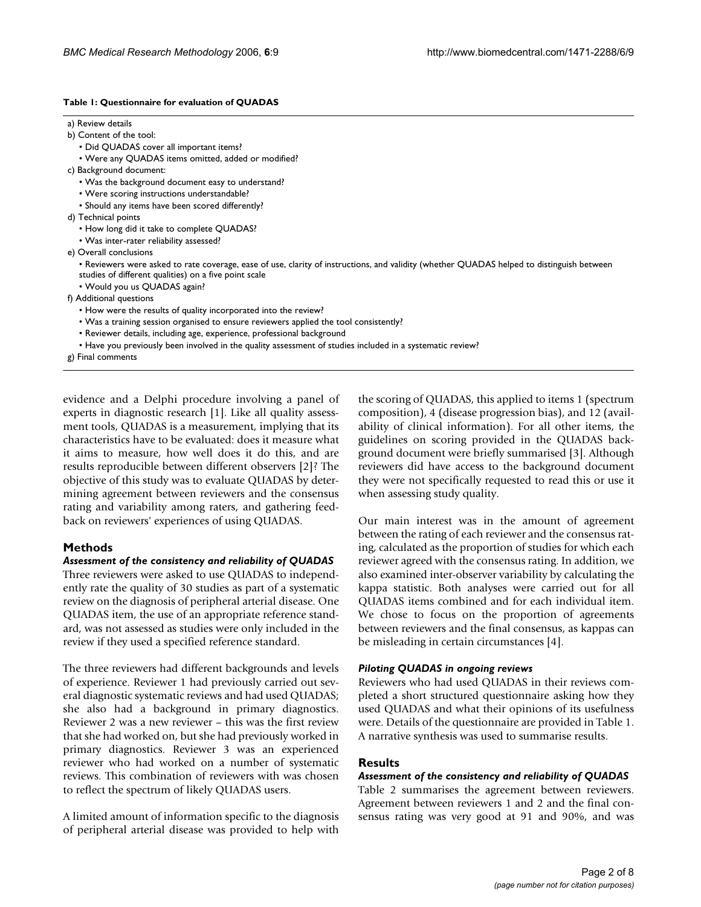#### **Table 1: Questionnaire for evaluation of QUADAS**

| a) Review details                                                                                                                                                                                  |  |
|----------------------------------------------------------------------------------------------------------------------------------------------------------------------------------------------------|--|
| b) Content of the tool:                                                                                                                                                                            |  |
| • Did QUADAS cover all important items?                                                                                                                                                            |  |
| • Were any QUADAS items omitted, added or modified?                                                                                                                                                |  |
| c) Background document:                                                                                                                                                                            |  |
| . Was the background document easy to understand?                                                                                                                                                  |  |
| • Were scoring instructions understandable?                                                                                                                                                        |  |
| • Should any items have been scored differently?                                                                                                                                                   |  |
| d) Technical points                                                                                                                                                                                |  |
| • How long did it take to complete QUADAS?                                                                                                                                                         |  |
| • Was inter-rater reliability assessed?                                                                                                                                                            |  |
| e) Overall conclusions                                                                                                                                                                             |  |
| • Reviewers were asked to rate coverage, ease of use, clarity of instructions, and validity (whether QUADAS helped to distinguish between<br>studies of different qualities) on a five point scale |  |
| • Would you us QUADAS again?                                                                                                                                                                       |  |
| f) Additional questions                                                                                                                                                                            |  |
| • How were the results of quality incorporated into the review?                                                                                                                                    |  |
| . Was a training session organised to ensure reviewers applied the tool consistently?                                                                                                              |  |
| • Reviewer details, including age, experience, professional background                                                                                                                             |  |
| • Have you previously been involved in the quality assessment of studies included in a systematic review?                                                                                          |  |
| g) Final comments                                                                                                                                                                                  |  |

evidence and a Delphi procedure involving a panel of experts in diagnostic research [1]. Like all quality assessment tools, QUADAS is a measurement, implying that its characteristics have to be evaluated: does it measure what it aims to measure, how well does it do this, and are results reproducible between different observers [2]? The objective of this study was to evaluate QUADAS by determining agreement between reviewers and the consensus rating and variability among raters, and gathering feedback on reviewers' experiences of using QUADAS.

# **Methods**

## *Assessment of the consistency and reliability of QUADAS*

Three reviewers were asked to use QUADAS to independently rate the quality of 30 studies as part of a systematic review on the diagnosis of peripheral arterial disease. One QUADAS item, the use of an appropriate reference standard, was not assessed as studies were only included in the review if they used a specified reference standard.

The three reviewers had different backgrounds and levels of experience. Reviewer 1 had previously carried out several diagnostic systematic reviews and had used QUADAS; she also had a background in primary diagnostics. Reviewer 2 was a new reviewer – this was the first review that she had worked on, but she had previously worked in primary diagnostics. Reviewer 3 was an experienced reviewer who had worked on a number of systematic reviews. This combination of reviewers with was chosen to reflect the spectrum of likely QUADAS users.

A limited amount of information specific to the diagnosis of peripheral arterial disease was provided to help with

the scoring of QUADAS, this applied to items 1 (spectrum composition), 4 (disease progression bias), and 12 (availability of clinical information). For all other items, the guidelines on scoring provided in the QUADAS background document were briefly summarised [3]. Although reviewers did have access to the background document they were not specifically requested to read this or use it when assessing study quality.

Our main interest was in the amount of agreement between the rating of each reviewer and the consensus rating, calculated as the proportion of studies for which each reviewer agreed with the consensus rating. In addition, we also examined inter-observer variability by calculating the kappa statistic. Both analyses were carried out for all QUADAS items combined and for each individual item. We chose to focus on the proportion of agreements between reviewers and the final consensus, as kappas can be misleading in certain circumstances [4].

## *Piloting QUADAS in ongoing reviews*

Reviewers who had used QUADAS in their reviews completed a short structured questionnaire asking how they used QUADAS and what their opinions of its usefulness were. Details of the questionnaire are provided in Table 1. A narrative synthesis was used to summarise results.

# **Results**

#### *Assessment of the consistency and reliability of QUADAS*

Table 2 summarises the agreement between reviewers. Agreement between reviewers 1 and 2 and the final consensus rating was very good at 91 and 90%, and was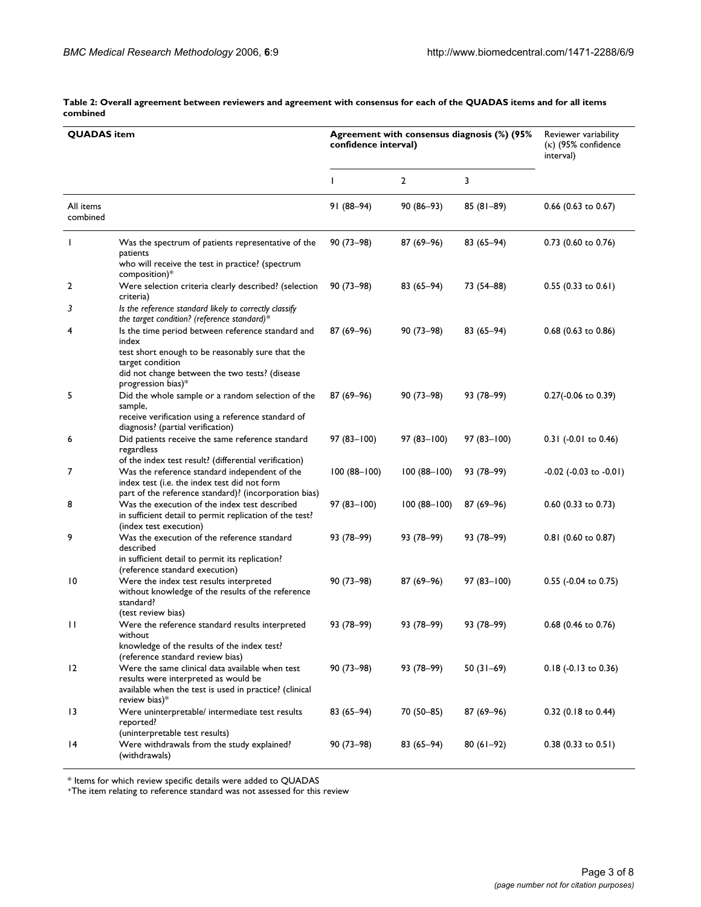| <b>QUADAS</b> item    |                                                                                                                                                                                                                 | confidence interval) |                 | Agreement with consensus diagnosis (%) (95% | Reviewer variability<br>$(\kappa)$ (95% confidence<br>interval) |
|-----------------------|-----------------------------------------------------------------------------------------------------------------------------------------------------------------------------------------------------------------|----------------------|-----------------|---------------------------------------------|-----------------------------------------------------------------|
|                       |                                                                                                                                                                                                                 | L                    | 2               | 3                                           |                                                                 |
| All items<br>combined |                                                                                                                                                                                                                 | 91 (88-94)           | $90(86-93)$     | $85(81-89)$                                 | 0.66 (0.63 to 0.67)                                             |
| L                     | Was the spectrum of patients representative of the<br>patients<br>who will receive the test in practice? (spectrum                                                                                              | $90(73-98)$          | $87(69 - 96)$   | $83(65-94)$                                 | 0.73 (0.60 to 0.76)                                             |
|                       | composition)*                                                                                                                                                                                                   |                      |                 |                                             |                                                                 |
| 2                     | Were selection criteria clearly described? (selection<br>criteria)                                                                                                                                              | 90 (73-98)           | $83(65-94)$     | 73 (54-88)                                  | $0.55$ (0.33 to 0.61)                                           |
| 3                     | Is the reference standard likely to correctly classify<br>the target condition? (reference standard)*                                                                                                           |                      |                 |                                             |                                                                 |
| 4                     | Is the time period between reference standard and<br>index                                                                                                                                                      | 87 (69–96)           | $90(73-98)$     | $83(65-94)$                                 | 0.68 (0.63 to 0.86)                                             |
|                       | test short enough to be reasonably sure that the<br>target condition<br>did not change between the two tests? (disease                                                                                          |                      |                 |                                             |                                                                 |
| 5                     | progression bias)*<br>Did the whole sample or a random selection of the<br>sample,                                                                                                                              | 87 (69-96)           | 90 (73-98)      | 93 (78-99)                                  | 0.27(-0.06 to 0.39)                                             |
|                       | receive verification using a reference standard of<br>diagnosis? (partial verification)                                                                                                                         |                      |                 |                                             |                                                                 |
| 6                     | Did patients receive the same reference standard<br>regardless                                                                                                                                                  | $97(83 - 100)$       | $97(83 - 100)$  | $97(83 - 100)$                              | 0.31 (-0.01 to 0.46)                                            |
| 7                     | of the index test result? (differential verification)<br>Was the reference standard independent of the<br>index test (i.e. the index test did not form<br>part of the reference standard)? (incorporation bias) | $100(88 - 100)$      | $100(88 - 100)$ | 93 (78-99)                                  | $-0.02$ ( $-0.03$ to $-0.01$ )                                  |
| 8                     | Was the execution of the index test described<br>in sufficient detail to permit replication of the test?                                                                                                        | 97 (83-100)          | $100(88 - 100)$ | 87 (69-96)                                  | 0.60 (0.33 to 0.73)                                             |
| 9                     | (index test execution)<br>Was the execution of the reference standard<br>described                                                                                                                              | 93 (78–99)           | 93 (78-99)      | 93 (78-99)                                  | 0.81 (0.60 to 0.87)                                             |
|                       | in sufficient detail to permit its replication?<br>(reference standard execution)                                                                                                                               |                      |                 |                                             |                                                                 |
| 10                    | Were the index test results interpreted<br>without knowledge of the results of the reference<br>standard?                                                                                                       | 90 (73-98)           | 87 (69-96)      | $97(83 - 100)$                              | 0.55 (-0.04 to 0.75)                                            |
| П                     | (test review bias)<br>Were the reference standard results interpreted                                                                                                                                           | 93 (78-99)           | 93 (78-99)      | 93 (78-99)                                  | 0.68 (0.46 to 0.76)                                             |
|                       | without<br>knowledge of the results of the index test?                                                                                                                                                          |                      |                 |                                             |                                                                 |
| 12                    | (reference standard review bias)<br>Were the same clinical data available when test<br>results were interpreted as would be<br>available when the test is used in practice? (clinical                           | 90 (73–98)           | 93 (78-99)      | 50 $(31-69)$                                | 0.18 (-0.13 to 0.36)                                            |
|                       | review bias)*                                                                                                                                                                                                   |                      |                 |                                             |                                                                 |
| 13                    | Were uninterpretable/ intermediate test results<br>reported?<br>(uninterpretable test results)                                                                                                                  | 83 (65–94)           | 70 (50-85)      | $87(69-96)$                                 | 0.32 (0.18 to 0.44)                                             |
| 4                     | Were withdrawals from the study explained?<br>(withdrawals)                                                                                                                                                     | 90 (73–98)           | 83 (65–94)      | $80(61-92)$                                 | $0.38$ (0.33 to 0.51)                                           |

**Table 2: Overall agreement between reviewers and agreement with consensus for each of the QUADAS items and for all items combined**

\* Items for which review specific details were added to QUADAS

+The item relating to reference standard was not assessed for this review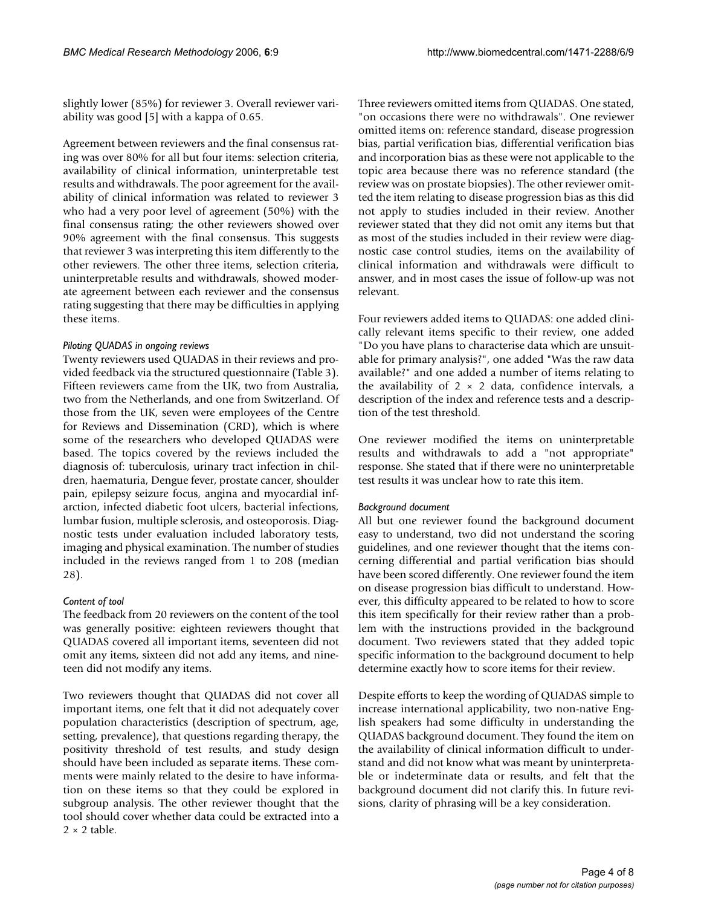slightly lower (85%) for reviewer 3. Overall reviewer variability was good [5] with a kappa of 0.65.

Agreement between reviewers and the final consensus rating was over 80% for all but four items: selection criteria, availability of clinical information, uninterpretable test results and withdrawals. The poor agreement for the availability of clinical information was related to reviewer 3 who had a very poor level of agreement (50%) with the final consensus rating; the other reviewers showed over 90% agreement with the final consensus. This suggests that reviewer 3 was interpreting this item differently to the other reviewers. The other three items, selection criteria, uninterpretable results and withdrawals, showed moderate agreement between each reviewer and the consensus rating suggesting that there may be difficulties in applying these items.

# *Piloting QUADAS in ongoing reviews*

Twenty reviewers used QUADAS in their reviews and provided feedback via the structured questionnaire (Table 3). Fifteen reviewers came from the UK, two from Australia, two from the Netherlands, and one from Switzerland. Of those from the UK, seven were employees of the Centre for Reviews and Dissemination (CRD), which is where some of the researchers who developed QUADAS were based. The topics covered by the reviews included the diagnosis of: tuberculosis, urinary tract infection in children, haematuria, Dengue fever, prostate cancer, shoulder pain, epilepsy seizure focus, angina and myocardial infarction, infected diabetic foot ulcers, bacterial infections, lumbar fusion, multiple sclerosis, and osteoporosis. Diagnostic tests under evaluation included laboratory tests, imaging and physical examination. The number of studies included in the reviews ranged from 1 to 208 (median 28).

# *Content of tool*

The feedback from 20 reviewers on the content of the tool was generally positive: eighteen reviewers thought that QUADAS covered all important items, seventeen did not omit any items, sixteen did not add any items, and nineteen did not modify any items.

Two reviewers thought that QUADAS did not cover all important items, one felt that it did not adequately cover population characteristics (description of spectrum, age, setting, prevalence), that questions regarding therapy, the positivity threshold of test results, and study design should have been included as separate items. These comments were mainly related to the desire to have information on these items so that they could be explored in subgroup analysis. The other reviewer thought that the tool should cover whether data could be extracted into a  $2 \times 2$  table.

Three reviewers omitted items from QUADAS. One stated, "on occasions there were no withdrawals". One reviewer omitted items on: reference standard, disease progression bias, partial verification bias, differential verification bias and incorporation bias as these were not applicable to the topic area because there was no reference standard (the review was on prostate biopsies). The other reviewer omitted the item relating to disease progression bias as this did not apply to studies included in their review. Another reviewer stated that they did not omit any items but that as most of the studies included in their review were diagnostic case control studies, items on the availability of clinical information and withdrawals were difficult to answer, and in most cases the issue of follow-up was not relevant.

Four reviewers added items to QUADAS: one added clinically relevant items specific to their review, one added "Do you have plans to characterise data which are unsuitable for primary analysis?", one added "Was the raw data available?" and one added a number of items relating to the availability of  $2 \times 2$  data, confidence intervals, a description of the index and reference tests and a description of the test threshold.

One reviewer modified the items on uninterpretable results and withdrawals to add a "not appropriate" response. She stated that if there were no uninterpretable test results it was unclear how to rate this item.

# *Background document*

All but one reviewer found the background document easy to understand, two did not understand the scoring guidelines, and one reviewer thought that the items concerning differential and partial verification bias should have been scored differently. One reviewer found the item on disease progression bias difficult to understand. However, this difficulty appeared to be related to how to score this item specifically for their review rather than a problem with the instructions provided in the background document. Two reviewers stated that they added topic specific information to the background document to help determine exactly how to score items for their review.

Despite efforts to keep the wording of QUADAS simple to increase international applicability, two non-native English speakers had some difficulty in understanding the QUADAS background document. They found the item on the availability of clinical information difficult to understand and did not know what was meant by uninterpretable or indeterminate data or results, and felt that the background document did not clarify this. In future revisions, clarity of phrasing will be a key consideration.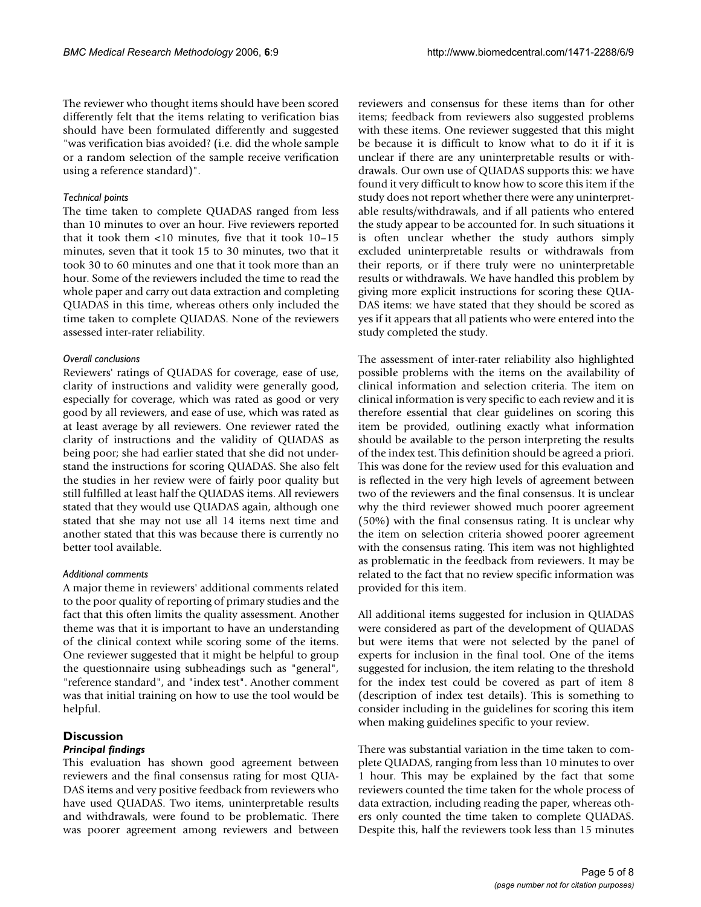The reviewer who thought items should have been scored differently felt that the items relating to verification bias should have been formulated differently and suggested "was verification bias avoided? (i.e. did the whole sample or a random selection of the sample receive verification using a reference standard)".

#### *Technical points*

The time taken to complete QUADAS ranged from less than 10 minutes to over an hour. Five reviewers reported that it took them <10 minutes, five that it took 10–15 minutes, seven that it took 15 to 30 minutes, two that it took 30 to 60 minutes and one that it took more than an hour. Some of the reviewers included the time to read the whole paper and carry out data extraction and completing QUADAS in this time, whereas others only included the time taken to complete QUADAS. None of the reviewers assessed inter-rater reliability.

#### *Overall conclusions*

Reviewers' ratings of QUADAS for coverage, ease of use, clarity of instructions and validity were generally good, especially for coverage, which was rated as good or very good by all reviewers, and ease of use, which was rated as at least average by all reviewers. One reviewer rated the clarity of instructions and the validity of QUADAS as being poor; she had earlier stated that she did not understand the instructions for scoring QUADAS. She also felt the studies in her review were of fairly poor quality but still fulfilled at least half the QUADAS items. All reviewers stated that they would use QUADAS again, although one stated that she may not use all 14 items next time and another stated that this was because there is currently no better tool available.

#### *Additional comments*

A major theme in reviewers' additional comments related to the poor quality of reporting of primary studies and the fact that this often limits the quality assessment. Another theme was that it is important to have an understanding of the clinical context while scoring some of the items. One reviewer suggested that it might be helpful to group the questionnaire using subheadings such as "general", "reference standard", and "index test". Another comment was that initial training on how to use the tool would be helpful.

## **Discussion** *Principal findings*

This evaluation has shown good agreement between reviewers and the final consensus rating for most QUA-DAS items and very positive feedback from reviewers who have used QUADAS. Two items, uninterpretable results and withdrawals, were found to be problematic. There was poorer agreement among reviewers and between

reviewers and consensus for these items than for other items; feedback from reviewers also suggested problems with these items. One reviewer suggested that this might be because it is difficult to know what to do it if it is unclear if there are any uninterpretable results or withdrawals. Our own use of QUADAS supports this: we have found it very difficult to know how to score this item if the study does not report whether there were any uninterpretable results/withdrawals, and if all patients who entered the study appear to be accounted for. In such situations it is often unclear whether the study authors simply excluded uninterpretable results or withdrawals from their reports, or if there truly were no uninterpretable results or withdrawals. We have handled this problem by giving more explicit instructions for scoring these QUA-DAS items: we have stated that they should be scored as yes if it appears that all patients who were entered into the study completed the study.

The assessment of inter-rater reliability also highlighted possible problems with the items on the availability of clinical information and selection criteria. The item on clinical information is very specific to each review and it is therefore essential that clear guidelines on scoring this item be provided, outlining exactly what information should be available to the person interpreting the results of the index test. This definition should be agreed a priori. This was done for the review used for this evaluation and is reflected in the very high levels of agreement between two of the reviewers and the final consensus. It is unclear why the third reviewer showed much poorer agreement (50%) with the final consensus rating. It is unclear why the item on selection criteria showed poorer agreement with the consensus rating. This item was not highlighted as problematic in the feedback from reviewers. It may be related to the fact that no review specific information was provided for this item.

All additional items suggested for inclusion in QUADAS were considered as part of the development of QUADAS but were items that were not selected by the panel of experts for inclusion in the final tool. One of the items suggested for inclusion, the item relating to the threshold for the index test could be covered as part of item 8 (description of index test details). This is something to consider including in the guidelines for scoring this item when making guidelines specific to your review.

There was substantial variation in the time taken to complete QUADAS, ranging from less than 10 minutes to over 1 hour. This may be explained by the fact that some reviewers counted the time taken for the whole process of data extraction, including reading the paper, whereas others only counted the time taken to complete QUADAS. Despite this, half the reviewers took less than 15 minutes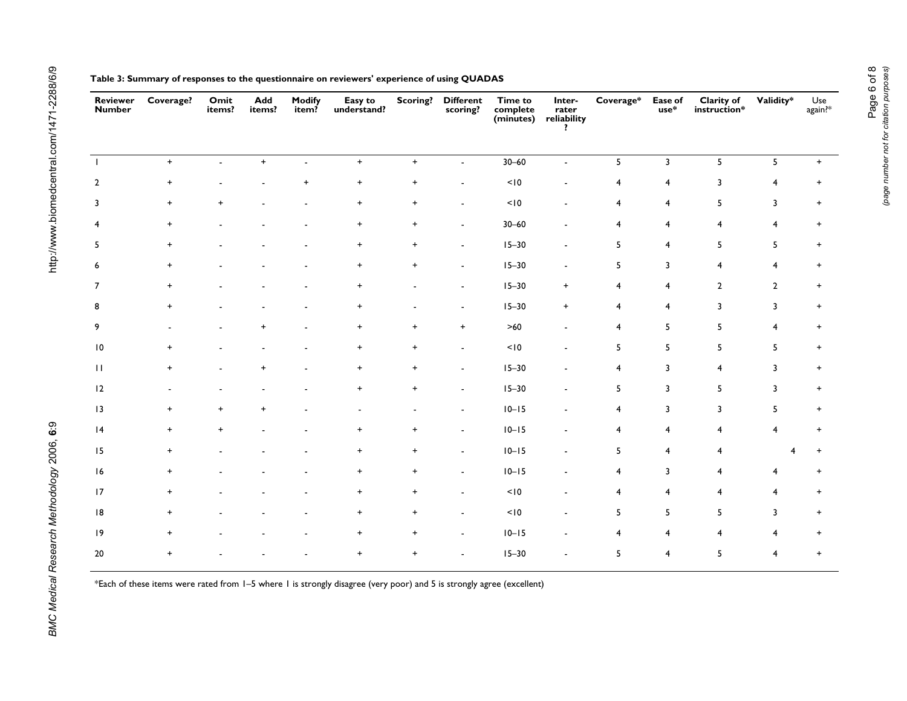| Reviewer<br><b>Number</b> | Coverage?                        | Omit<br>items? | Add<br>items?                    | <b>Modify</b><br>item?   | Easy to<br>understand?           | Scoring?                         | <b>Different</b><br>scoring?     | <b>Time to</b><br>complete<br>(minutes) | Inter-<br>rater<br>reliability | Coverage*               | Ease of<br>$use*$       | <b>Clarity of</b><br>instruction* | Validity*               | Use<br>again?* |
|---------------------------|----------------------------------|----------------|----------------------------------|--------------------------|----------------------------------|----------------------------------|----------------------------------|-----------------------------------------|--------------------------------|-------------------------|-------------------------|-----------------------------------|-------------------------|----------------|
|                           | $\ddot{}$                        | $\blacksquare$ | $\begin{array}{c} + \end{array}$ | $\blacksquare$           | $+$                              | $\bf +$                          | $\blacksquare$                   | $30 - 60$                               | $\blacksquare$                 | $\sqrt{5}$              | $\overline{\mathbf{3}}$ | 5                                 | $\overline{\mathbf{5}}$ | $+$            |
|                           | $\ddot{}$                        |                |                                  | $\ddot{}$                | $\begin{array}{c} + \end{array}$ | $\ddot{}$                        |                                  | 10                                      | $\overline{\phantom{a}}$       | $\overline{4}$          | $\overline{4}$          | 3                                 | $\overline{4}$          | $\ddot{}$      |
|                           | $\ddot{}$                        | $\ddot{}$      |                                  | $\overline{\phantom{a}}$ | $+$                              | $\begin{array}{c} + \end{array}$ | $\sim$                           | $< 10$                                  | $\blacksquare$                 | $\overline{\mathbf{4}}$ | $\overline{\mathbf{4}}$ | 5                                 | 3                       | $\ddot{}$      |
|                           | $\ddot{}$                        |                |                                  |                          | $\ddot{}$                        | $\ddot{}$                        | $\overline{\phantom{a}}$         | $30 - 60$                               | $\blacksquare$                 | 4                       | 4                       | 4                                 | 4                       | $\ddot{}$      |
|                           | $\ddot{}$                        |                |                                  |                          | $\ddot{}$                        | $\ddot{}$                        | $\sim$                           | $15 - 30$                               | $\blacksquare$                 | 5                       | $\overline{4}$          | 5                                 | 5                       | $\ddot{}$      |
|                           | $\ddot{}$                        |                |                                  |                          | $\begin{array}{c} + \end{array}$ | $\ddot{}$                        | $\sim$                           | $15 - 30$                               | $\blacksquare$                 | 5                       | 3                       | 4                                 | $\overline{4}$          | $\ddot{}$      |
|                           | $\ddot{}$                        |                |                                  |                          | $\ddot{}$                        |                                  | $\sim$                           | $15 - 30$                               | $\ddot{}$                      | $\overline{4}$          | $\overline{4}$          | $\overline{2}$                    | $\overline{2}$          | $\ddot{}$      |
|                           | $\overline{1}$                   |                |                                  |                          | $\ddot{}$                        |                                  |                                  | $15 - 30$                               | $\ddot{}$                      | $\overline{4}$          | 4                       | 3                                 | 3                       | $\ddot{}$      |
|                           |                                  |                |                                  |                          | $\begin{array}{c} + \end{array}$ | $\ddot{}$                        | $\begin{array}{c} + \end{array}$ | $>60$                                   | $\blacksquare$                 | $\overline{4}$          | 5                       | 5                                 | 4                       | $\ddot{}$      |
| $\overline{10}$           | $\ddot{}$                        |                |                                  |                          | $+$                              | $\ddot{}$                        | $\blacksquare$                   | $< 10$                                  | $\overline{\phantom{a}}$       | 5                       | 5                       | 5                                 | 5                       | $\ddot{}$      |
| $\mathbf{H}$              | $\ddot{}$                        |                |                                  |                          | $\ddot{}$                        | $\ddot{}$                        | $\sim$                           | $15 - 30$                               | $\overline{\phantom{a}}$       | $\overline{4}$          | 3                       | 4                                 | 3                       | $\ddot{}$      |
| 12                        |                                  |                |                                  |                          | $+$                              | $\ddot{}$                        | $\overline{\phantom{a}}$         | $15 - 30$                               | $\overline{a}$                 | 5                       | 3                       | 5                                 | 3                       | $\ddot{}$      |
| $\overline{13}$           | $\ddot{}$                        | $\ddot{}$      | $\ddot{}$                        |                          |                                  |                                  | $\blacksquare$                   | $10 - 15$                               | $\blacksquare$                 | $\overline{4}$          | 3                       | 3                                 | 5                       | $\ddot{}$      |
| 4                         | $\ddot{}$                        | $\ddot{}$      |                                  |                          | $\ddot{}$                        | $\ddot{}$                        | $\sim$                           | $10 - 15$                               | $\blacksquare$                 | $\overline{4}$          | $\overline{4}$          | 4                                 | $\overline{4}$          | $\ddot{}$      |
| 15                        | $\ddot{}$                        |                |                                  |                          | $\ddot{}$                        | $\ddot{}$                        | $\sim$                           | $10 - 15$                               | $\blacksquare$                 | 5                       | $\overline{4}$          | 4                                 | 4                       | $\ddot{}$      |
| 16                        | $\begin{array}{c} + \end{array}$ |                |                                  |                          | $\ddot{}$                        | $\ddot{}$                        | $\sim$                           | $10 - 15$                               | $\blacksquare$                 | $\overline{4}$          | 3                       | 4                                 |                         | $\ddot{}$      |
| 17                        | $\overline{+}$                   |                |                                  |                          | $\ddot{}$                        | $\ddot{}$                        | $\blacksquare$                   | 10                                      | $\overline{\phantom{a}}$       | $\overline{4}$          | 4                       | 4                                 | 4                       |                |
| 8                         | $\ddot{}$                        |                |                                  |                          | $\begin{array}{c} + \end{array}$ | $\ddot{}$                        | $\overline{\phantom{a}}$         | 10                                      | $\blacksquare$                 | 5                       | 5                       | 5                                 | 3                       | $\ddot{}$      |
| 9                         | $\ddot{}$                        |                |                                  |                          | $+$                              | $\ddot{}$                        | $\overline{\phantom{a}}$         | $10 - 15$                               | $\overline{\phantom{a}}$       | $\overline{4}$          | $\overline{4}$          | 4                                 | $\overline{4}$          | $\ddot{}$      |
| 20                        | $\ddot{}$                        |                |                                  |                          | $\ddot{}$                        | $\ddot{}$                        | $\blacksquare$                   | $15 - 30$                               | $\blacksquare$                 | 5                       | $\overline{4}$          | 5                                 | $\overline{4}$          | $\ddot{}$      |

\*Each of these items were rated from 1–5 where 1 is strongly disagree (very poor) and 5 is strongly agree (excellent)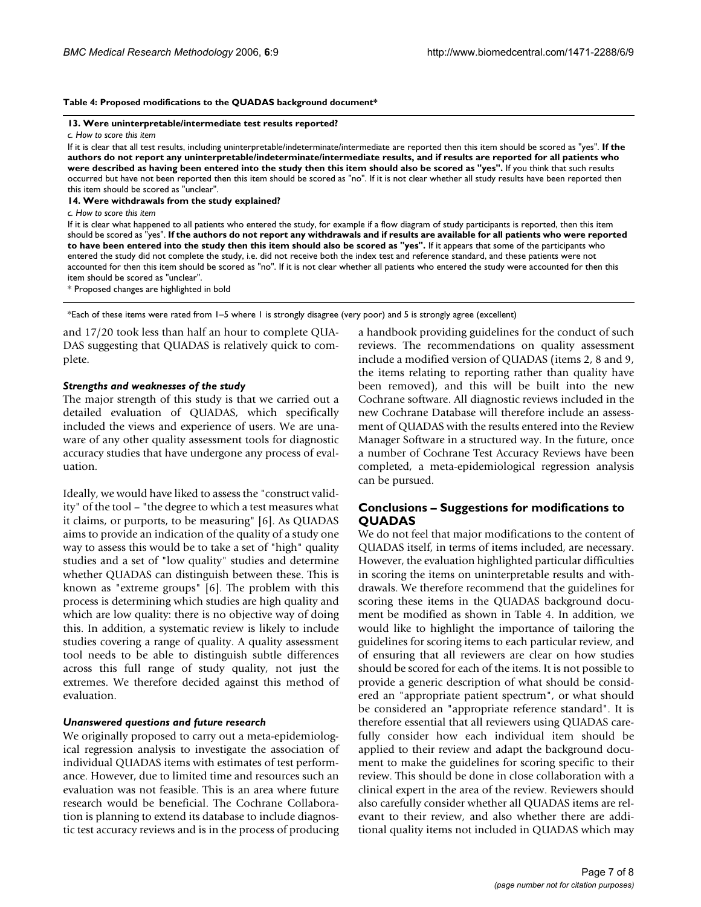#### **Table 4: Proposed modifications to the QUADAS background document\***

#### **13. Were uninterpretable/intermediate test results reported?**

*c. How to score this item*

If it is clear that all test results, including uninterpretable/indeterminate/intermediate are reported then this item should be scored as "yes". **If the authors do not report any uninterpretable/indeterminate/intermediate results, and if results are reported for all patients who were described as having been entered into the study then this item should also be scored as "yes".** If you think that such results occurred but have not been reported then this item should be scored as "no". If it is not clear whether all study results have been reported then this item should be scored as "unclear".

**14. Were withdrawals from the study explained?**

*c. How to score this item*

If it is clear what happened to all patients who entered the study, for example if a flow diagram of study participants is reported, then this item should be scored as "yes". **If the authors do not report any withdrawals and if results are available for all patients who were reported to have been entered into the study then this item should also be scored as "yes".** If it appears that some of the participants who entered the study did not complete the study, i.e. did not receive both the index test and reference standard, and these patients were not accounted for then this item should be scored as "no". If it is not clear whether all patients who entered the study were accounted for then this item should be scored as "unclear".

\* Proposed changes are highlighted in bold

\*Each of these items were rated from 1–5 where 1 is strongly disagree (very poor) and 5 is strongly agree (excellent)

and 17/20 took less than half an hour to complete QUA-DAS suggesting that QUADAS is relatively quick to complete.

#### *Strengths and weaknesses of the study*

The major strength of this study is that we carried out a detailed evaluation of QUADAS, which specifically included the views and experience of users. We are unaware of any other quality assessment tools for diagnostic accuracy studies that have undergone any process of evaluation.

Ideally, we would have liked to assess the "construct validity" of the tool – "the degree to which a test measures what it claims, or purports, to be measuring" [6]. As QUADAS aims to provide an indication of the quality of a study one way to assess this would be to take a set of "high" quality studies and a set of "low quality" studies and determine whether QUADAS can distinguish between these. This is known as "extreme groups" [6]. The problem with this process is determining which studies are high quality and which are low quality: there is no objective way of doing this. In addition, a systematic review is likely to include studies covering a range of quality. A quality assessment tool needs to be able to distinguish subtle differences across this full range of study quality, not just the extremes. We therefore decided against this method of evaluation.

#### *Unanswered questions and future research*

We originally proposed to carry out a meta-epidemiological regression analysis to investigate the association of individual QUADAS items with estimates of test performance. However, due to limited time and resources such an evaluation was not feasible. This is an area where future research would be beneficial. The Cochrane Collaboration is planning to extend its database to include diagnostic test accuracy reviews and is in the process of producing

a handbook providing guidelines for the conduct of such reviews. The recommendations on quality assessment include a modified version of QUADAS (items 2, 8 and 9, the items relating to reporting rather than quality have been removed), and this will be built into the new Cochrane software. All diagnostic reviews included in the new Cochrane Database will therefore include an assessment of QUADAS with the results entered into the Review Manager Software in a structured way. In the future, once a number of Cochrane Test Accuracy Reviews have been completed, a meta-epidemiological regression analysis can be pursued.

# **Conclusions – Suggestions for modifications to QUADAS**

We do not feel that major modifications to the content of QUADAS itself, in terms of items included, are necessary. However, the evaluation highlighted particular difficulties in scoring the items on uninterpretable results and withdrawals. We therefore recommend that the guidelines for scoring these items in the QUADAS background document be modified as shown in Table 4. In addition, we would like to highlight the importance of tailoring the guidelines for scoring items to each particular review, and of ensuring that all reviewers are clear on how studies should be scored for each of the items. It is not possible to provide a generic description of what should be considered an "appropriate patient spectrum", or what should be considered an "appropriate reference standard". It is therefore essential that all reviewers using QUADAS carefully consider how each individual item should be applied to their review and adapt the background document to make the guidelines for scoring specific to their review. This should be done in close collaboration with a clinical expert in the area of the review. Reviewers should also carefully consider whether all QUADAS items are relevant to their review, and also whether there are additional quality items not included in QUADAS which may